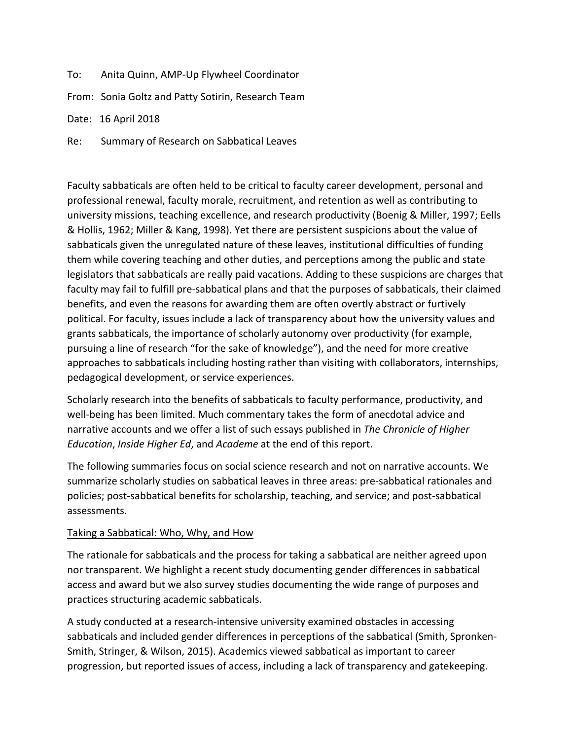To: Anita Quinn, AMP-Up Flywheel Coordinator

From: Sonia Goltz and Patty Sotirin, Research Team

Date: 16 April 2018

Re: Summary of Research on Sabbatical Leaves

Faculty sabbaticals are often held to be critical to faculty career development, personal and professional renewal, faculty morale, recruitment, and retention as well as contributing to university missions, teaching excellence, and research productivity (Boenig & Miller, 1997; Eells & Hollis, 1962; Miller & Kang, 1998). Yet there are persistent suspicions about the value of sabbaticals given the unregulated nature of these leaves, institutional difficulties of funding them while covering teaching and other duties, and perceptions among the public and state legislators that sabbaticals are really paid vacations. Adding to these suspicions are charges that faculty may fail to fulfill pre-sabbatical plans and that the purposes of sabbaticals, their claimed benefits, and even the reasons for awarding them are often overtly abstract or furtively political. For faculty, issues include a lack of transparency about how the university values and grants sabbaticals, the importance of scholarly autonomy over productivity (for example, pursuing a line of research "for the sake of knowledge"), and the need for more creative approaches to sabbaticals including hosting rather than visiting with collaborators, internships, pedagogical development, or service experiences.

Scholarly research into the benefits of sabbaticals to faculty performance, productivity, and well-being has been limited. Much commentary takes the form of anecdotal advice and narrative accounts and we offer a list of such essays published in *The Chronicle of Higher Education*, *Inside Higher Ed*, and *Academe* at the end of this report.

The following summaries focus on social science research and not on narrative accounts. We summarize scholarly studies on sabbatical leaves in three areas: pre-sabbatical rationales and policies; post-sabbatical benefits for scholarship, teaching, and service; and post-sabbatical assessments.

# Taking a Sabbatical: Who, Why, and How

The rationale for sabbaticals and the process for taking a sabbatical are neither agreed upon nor transparent. We highlight a recent study documenting gender differences in sabbatical access and award but we also survey studies documenting the wide range of purposes and practices structuring academic sabbaticals.

A study conducted at a research-intensive university examined obstacles in accessing sabbaticals and included gender differences in perceptions of the sabbatical (Smith, Spronken-Smith, Stringer, & Wilson, 2015). Academics viewed sabbatical as important to career progression, but reported issues of access, including a lack of transparency and gatekeeping.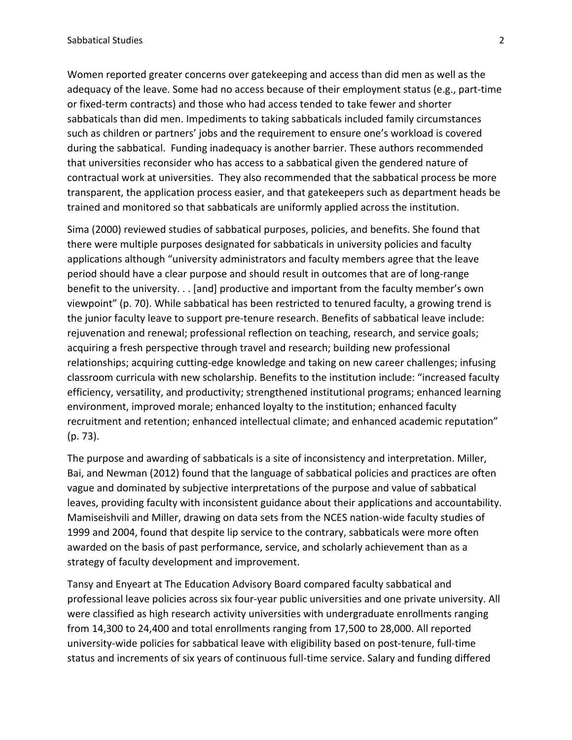Women reported greater concerns over gatekeeping and access than did men as well as the adequacy of the leave. Some had no access because of their employment status (e.g., part-time or fixed-term contracts) and those who had access tended to take fewer and shorter sabbaticals than did men. Impediments to taking sabbaticals included family circumstances such as children or partners' jobs and the requirement to ensure one's workload is covered during the sabbatical. Funding inadequacy is another barrier. These authors recommended that universities reconsider who has access to a sabbatical given the gendered nature of contractual work at universities. They also recommended that the sabbatical process be more transparent, the application process easier, and that gatekeepers such as department heads be trained and monitored so that sabbaticals are uniformly applied across the institution.

Sima (2000) reviewed studies of sabbatical purposes, policies, and benefits. She found that there were multiple purposes designated for sabbaticals in university policies and faculty applications although "university administrators and faculty members agree that the leave period should have a clear purpose and should result in outcomes that are of long-range benefit to the university. . . [and] productive and important from the faculty member's own viewpoint" (p. 70). While sabbatical has been restricted to tenured faculty, a growing trend is the junior faculty leave to support pre-tenure research. Benefits of sabbatical leave include: rejuvenation and renewal; professional reflection on teaching, research, and service goals; acquiring a fresh perspective through travel and research; building new professional relationships; acquiring cutting-edge knowledge and taking on new career challenges; infusing classroom curricula with new scholarship. Benefits to the institution include: "increased faculty efficiency, versatility, and productivity; strengthened institutional programs; enhanced learning environment, improved morale; enhanced loyalty to the institution; enhanced faculty recruitment and retention; enhanced intellectual climate; and enhanced academic reputation" (p. 73).

The purpose and awarding of sabbaticals is a site of inconsistency and interpretation. Miller, Bai, and Newman (2012) found that the language of sabbatical policies and practices are often vague and dominated by subjective interpretations of the purpose and value of sabbatical leaves, providing faculty with inconsistent guidance about their applications and accountability. Mamiseishvili and Miller, drawing on data sets from the NCES nation-wide faculty studies of 1999 and 2004, found that despite lip service to the contrary, sabbaticals were more often awarded on the basis of past performance, service, and scholarly achievement than as a strategy of faculty development and improvement.

Tansy and Enyeart at The Education Advisory Board compared faculty sabbatical and professional leave policies across six four-year public universities and one private university. All were classified as high research activity universities with undergraduate enrollments ranging from 14,300 to 24,400 and total enrollments ranging from 17,500 to 28,000. All reported university-wide policies for sabbatical leave with eligibility based on post-tenure, full-time status and increments of six years of continuous full-time service. Salary and funding differed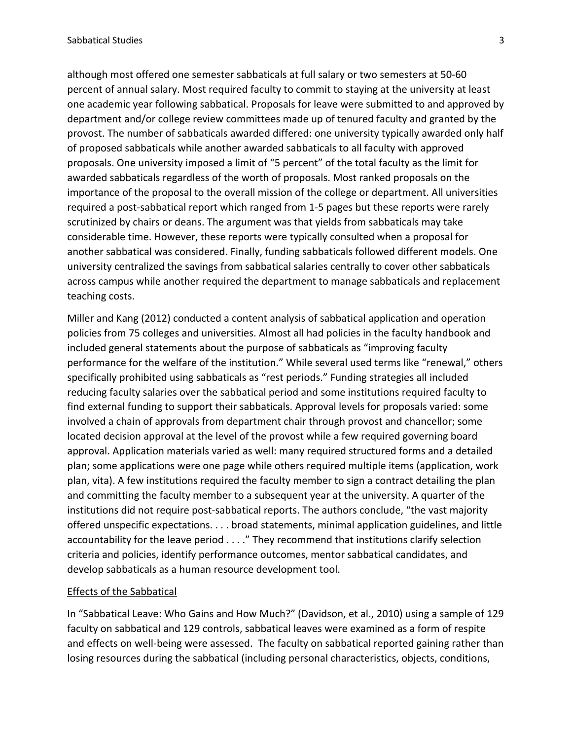although most offered one semester sabbaticals at full salary or two semesters at 50-60 percent of annual salary. Most required faculty to commit to staying at the university at least one academic year following sabbatical. Proposals for leave were submitted to and approved by department and/or college review committees made up of tenured faculty and granted by the provost. The number of sabbaticals awarded differed: one university typically awarded only half of proposed sabbaticals while another awarded sabbaticals to all faculty with approved proposals. One university imposed a limit of "5 percent" of the total faculty as the limit for awarded sabbaticals regardless of the worth of proposals. Most ranked proposals on the importance of the proposal to the overall mission of the college or department. All universities required a post-sabbatical report which ranged from 1-5 pages but these reports were rarely scrutinized by chairs or deans. The argument was that yields from sabbaticals may take considerable time. However, these reports were typically consulted when a proposal for another sabbatical was considered. Finally, funding sabbaticals followed different models. One university centralized the savings from sabbatical salaries centrally to cover other sabbaticals across campus while another required the department to manage sabbaticals and replacement teaching costs.

Miller and Kang (2012) conducted a content analysis of sabbatical application and operation policies from 75 colleges and universities. Almost all had policies in the faculty handbook and included general statements about the purpose of sabbaticals as "improving faculty performance for the welfare of the institution." While several used terms like "renewal," others specifically prohibited using sabbaticals as "rest periods." Funding strategies all included reducing faculty salaries over the sabbatical period and some institutions required faculty to find external funding to support their sabbaticals. Approval levels for proposals varied: some involved a chain of approvals from department chair through provost and chancellor; some located decision approval at the level of the provost while a few required governing board approval. Application materials varied as well: many required structured forms and a detailed plan; some applications were one page while others required multiple items (application, work plan, vita). A few institutions required the faculty member to sign a contract detailing the plan and committing the faculty member to a subsequent year at the university. A quarter of the institutions did not require post-sabbatical reports. The authors conclude, "the vast majority offered unspecific expectations. . . . broad statements, minimal application guidelines, and little accountability for the leave period . . . ." They recommend that institutions clarify selection criteria and policies, identify performance outcomes, mentor sabbatical candidates, and develop sabbaticals as a human resource development tool.

### Effects of the Sabbatical

In "Sabbatical Leave: Who Gains and How Much?" (Davidson, et al., 2010) using a sample of 129 faculty on sabbatical and 129 controls, sabbatical leaves were examined as a form of respite and effects on well-being were assessed. The faculty on sabbatical reported gaining rather than losing resources during the sabbatical (including personal characteristics, objects, conditions,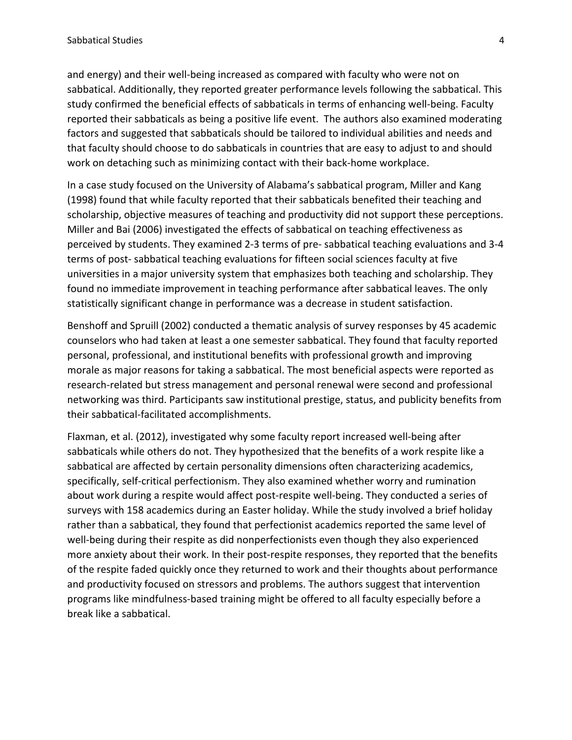and energy) and their well-being increased as compared with faculty who were not on sabbatical. Additionally, they reported greater performance levels following the sabbatical. This study confirmed the beneficial effects of sabbaticals in terms of enhancing well-being. Faculty reported their sabbaticals as being a positive life event. The authors also examined moderating factors and suggested that sabbaticals should be tailored to individual abilities and needs and that faculty should choose to do sabbaticals in countries that are easy to adjust to and should work on detaching such as minimizing contact with their back-home workplace.

In a case study focused on the University of Alabama's sabbatical program, Miller and Kang (1998) found that while faculty reported that their sabbaticals benefited their teaching and scholarship, objective measures of teaching and productivity did not support these perceptions. Miller and Bai (2006) investigated the effects of sabbatical on teaching effectiveness as perceived by students. They examined 2-3 terms of pre- sabbatical teaching evaluations and 3-4 terms of post- sabbatical teaching evaluations for fifteen social sciences faculty at five universities in a major university system that emphasizes both teaching and scholarship. They found no immediate improvement in teaching performance after sabbatical leaves. The only statistically significant change in performance was a decrease in student satisfaction.

Benshoff and Spruill (2002) conducted a thematic analysis of survey responses by 45 academic counselors who had taken at least a one semester sabbatical. They found that faculty reported personal, professional, and institutional benefits with professional growth and improving morale as major reasons for taking a sabbatical. The most beneficial aspects were reported as research-related but stress management and personal renewal were second and professional networking was third. Participants saw institutional prestige, status, and publicity benefits from their sabbatical-facilitated accomplishments.

Flaxman, et al. (2012), investigated why some faculty report increased well-being after sabbaticals while others do not. They hypothesized that the benefits of a work respite like a sabbatical are affected by certain personality dimensions often characterizing academics, specifically, self-critical perfectionism. They also examined whether worry and rumination about work during a respite would affect post-respite well-being. They conducted a series of surveys with 158 academics during an Easter holiday. While the study involved a brief holiday rather than a sabbatical, they found that perfectionist academics reported the same level of well-being during their respite as did nonperfectionists even though they also experienced more anxiety about their work. In their post-respite responses, they reported that the benefits of the respite faded quickly once they returned to work and their thoughts about performance and productivity focused on stressors and problems. The authors suggest that intervention programs like mindfulness-based training might be offered to all faculty especially before a break like a sabbatical.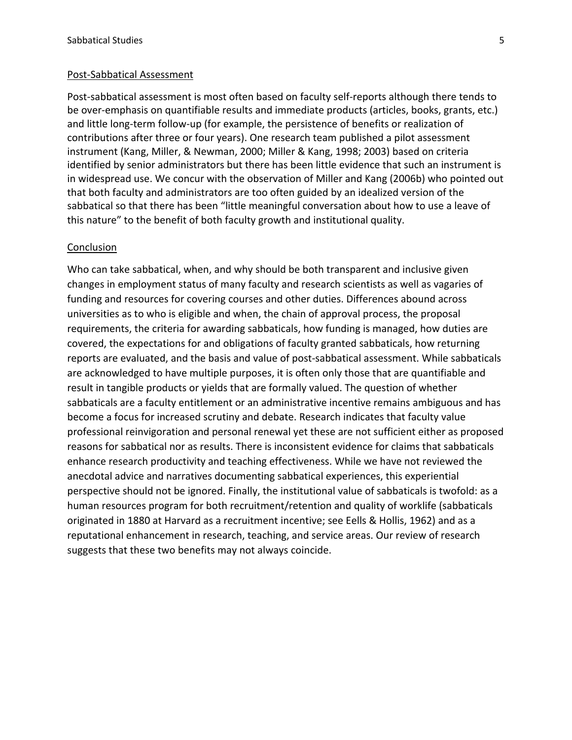#### Post-Sabbatical Assessment

Post-sabbatical assessment is most often based on faculty self-reports although there tends to be over-emphasis on quantifiable results and immediate products (articles, books, grants, etc.) and little long-term follow-up (for example, the persistence of benefits or realization of contributions after three or four years). One research team published a pilot assessment instrument (Kang, Miller, & Newman, 2000; Miller & Kang, 1998; 2003) based on criteria identified by senior administrators but there has been little evidence that such an instrument is in widespread use. We concur with the observation of Miller and Kang (2006b) who pointed out that both faculty and administrators are too often guided by an idealized version of the sabbatical so that there has been "little meaningful conversation about how to use a leave of this nature" to the benefit of both faculty growth and institutional quality.

### **Conclusion**

Who can take sabbatical, when, and why should be both transparent and inclusive given changes in employment status of many faculty and research scientists as well as vagaries of funding and resources for covering courses and other duties. Differences abound across universities as to who is eligible and when, the chain of approval process, the proposal requirements, the criteria for awarding sabbaticals, how funding is managed, how duties are covered, the expectations for and obligations of faculty granted sabbaticals, how returning reports are evaluated, and the basis and value of post-sabbatical assessment. While sabbaticals are acknowledged to have multiple purposes, it is often only those that are quantifiable and result in tangible products or yields that are formally valued. The question of whether sabbaticals are a faculty entitlement or an administrative incentive remains ambiguous and has become a focus for increased scrutiny and debate. Research indicates that faculty value professional reinvigoration and personal renewal yet these are not sufficient either as proposed reasons for sabbatical nor as results. There is inconsistent evidence for claims that sabbaticals enhance research productivity and teaching effectiveness. While we have not reviewed the anecdotal advice and narratives documenting sabbatical experiences, this experiential perspective should not be ignored. Finally, the institutional value of sabbaticals is twofold: as a human resources program for both recruitment/retention and quality of worklife (sabbaticals originated in 1880 at Harvard as a recruitment incentive; see Eells & Hollis, 1962) and as a reputational enhancement in research, teaching, and service areas. Our review of research suggests that these two benefits may not always coincide.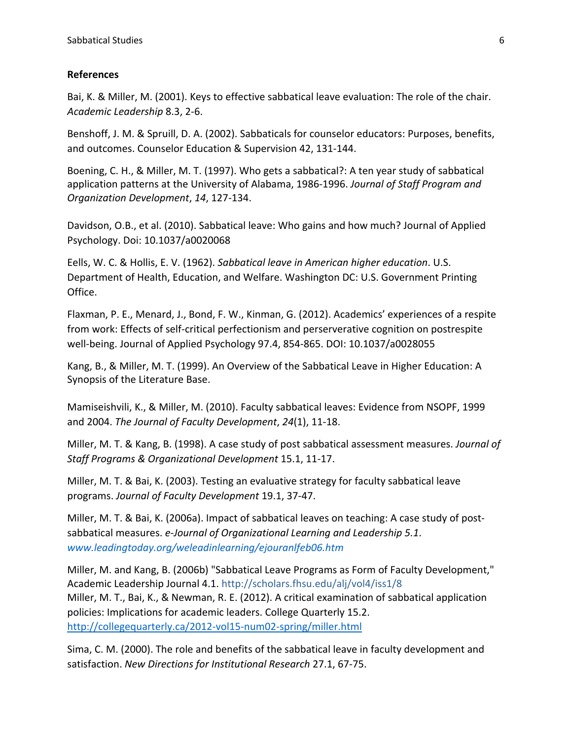# **References**

Bai, K. & Miller, M. (2001). Keys to effective sabbatical leave evaluation: The role of the chair. *Academic Leadership* 8.3, 2-6.

Benshoff, J. M. & Spruill, D. A. (2002). Sabbaticals for counselor educators: Purposes, benefits, and outcomes. Counselor Education & Supervision 42, 131-144.

Boening, C. H., & Miller, M. T. (1997). Who gets a sabbatical?: A ten year study of sabbatical application patterns at the University of Alabama, 1986-1996. *Journal of Staff Program and Organization Development*, *14*, 127-134.

Davidson, O.B., et al. (2010). Sabbatical leave: Who gains and how much? Journal of Applied Psychology. Doi: 10.1037/a0020068

Eells, W. C. & Hollis, E. V. (1962). *Sabbatical leave in American higher education*. U.S. Department of Health, Education, and Welfare. Washington DC: U.S. Government Printing Office.

Flaxman, P. E., Menard, J., Bond, F. W., Kinman, G. (2012). Academics' experiences of a respite from work: Effects of self-critical perfectionism and perserverative cognition on postrespite well-being. Journal of Applied Psychology 97.4, 854-865. DOI: 10.1037/a0028055

Kang, B., & Miller, M. T. (1999). An Overview of the Sabbatical Leave in Higher Education: A Synopsis of the Literature Base.

Mamiseishvili, K., & Miller, M. (2010). Faculty sabbatical leaves: Evidence from NSOPF, 1999 and 2004. *The Journal of Faculty Development*, *24*(1), 11-18.

Miller, M. T. & Kang, B. (1998). A case study of post sabbatical assessment measures. *Journal of Staff Programs & Organizational Development* 15.1, 11-17.

Miller, M. T. & Bai, K. (2003). Testing an evaluative strategy for faculty sabbatical leave programs. *Journal of Faculty Development* 19.1, 37-47.

Miller, M. T. & Bai, K. (2006a). Impact of sabbatical leaves on teaching: A case study of postsabbatical measures. *e-Journal of Organizational Learning and Leadership 5.1*. *www.leadingtoday.org/weleadinlearning/ejouranlfeb06.htm*

Miller, M. and Kang, B. (2006b) "Sabbatical Leave Programs as Form of Faculty Development," Academic Leadership Journal 4.1. http://scholars.fhsu.edu/alj/vol4/iss1/8 Miller, M. T., Bai, K., & Newman, R. E. (2012). A critical examination of sabbatical application policies: Implications for academic leaders. College Quarterly 15.2. http://collegequarterly.ca/2012-vol15-num02-spring/miller.html

Sima, C. M. (2000). The role and benefits of the sabbatical leave in faculty development and satisfaction. *New Directions for Institutional Research* 27.1, 67-75.